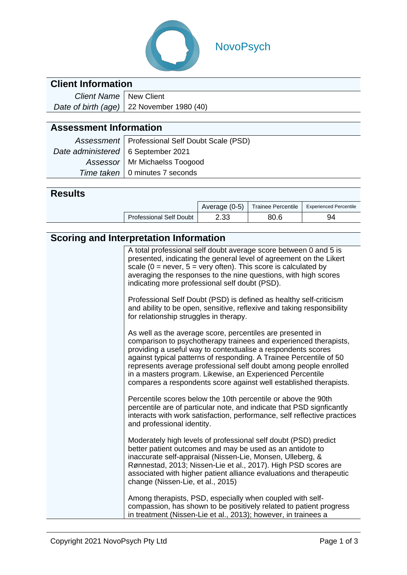

# NovoPsych

### **Client Information**

| Client Name   New Client |                                                   |
|--------------------------|---------------------------------------------------|
|                          | Date of birth (age) $\vert$ 22 November 1980 (40) |

# **Assessment Information**

|                                      | Assessment   Professional Self Doubt Scale (PSD) |  |  |  |
|--------------------------------------|--------------------------------------------------|--|--|--|
| Date administered   6 September 2021 |                                                  |  |  |  |
|                                      | Assessor   Mr Michaelss Toogood                  |  |  |  |
|                                      | Time taken   0 minutes 7 seconds                 |  |  |  |

#### **Results**

|                                | Average (0-5) | <b>Trainee Percentile</b> | <b>Experienced Percentile</b> |
|--------------------------------|---------------|---------------------------|-------------------------------|
| <b>Professional Self Doubt</b> | 2.33          | 80.6                      | 94                            |

# **Scoring and Interpretation Information**

| A total professional self doubt average score between 0 and 5 is<br>presented, indicating the general level of agreement on the Likert<br>scale ( $0 =$ never, $5 =$ very often). This score is calculated by<br>averaging the responses to the nine questions, with high scores<br>indicating more professional self doubt (PSD).                                                                                                                                         |
|----------------------------------------------------------------------------------------------------------------------------------------------------------------------------------------------------------------------------------------------------------------------------------------------------------------------------------------------------------------------------------------------------------------------------------------------------------------------------|
| Professional Self Doubt (PSD) is defined as healthy self-criticism<br>and ability to be open, sensitive, reflexive and taking responsibility<br>for relationship struggles in therapy.                                                                                                                                                                                                                                                                                     |
| As well as the average score, percentiles are presented in<br>comparison to psychotherapy trainees and experienced therapists,<br>providing a useful way to contextualise a respondents scores<br>against typical patterns of responding. A Trainee Percentile of 50<br>represents average professional self doubt among people enrolled<br>in a masters program. Likewise, an Experienced Percentile<br>compares a respondents score against well established therapists. |
| Percentile scores below the 10th percentile or above the 90th<br>percentile are of particular note, and indicate that PSD signficantly<br>interacts with work satisfaction, performance, self reflective practices<br>and professional identity.                                                                                                                                                                                                                           |
| Moderately high levels of professional self doubt (PSD) predict<br>better patient outcomes and may be used as an antidote to<br>inaccurate self-appraisal (Nissen-Lie, Monsen, Ulleberg, &<br>Rønnestad, 2013; Nissen-Lie et al., 2017). High PSD scores are<br>associated with higher patient alliance evaluations and therapeutic<br>change (Nissen-Lie, et al., 2015)                                                                                                   |
| Among therapists, PSD, especially when coupled with self-<br>compassion, has shown to be positively related to patient progress<br>in treatment (Nissen-Lie et al., 2013); however, in trainees a                                                                                                                                                                                                                                                                          |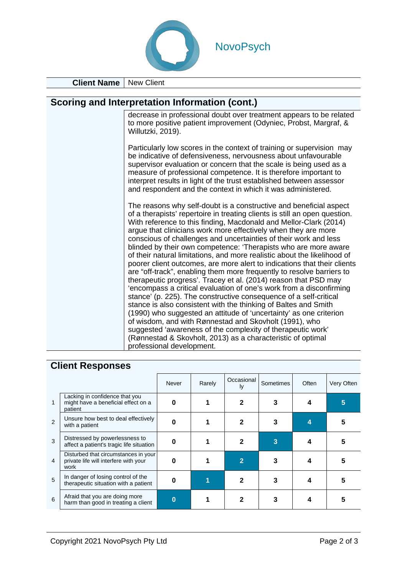

**Client Name** | New Client

#### **Scoring and Interpretation Information (cont.)**

decrease in professional doubt over treatment appears to be related to more positive patient improvement (Odyniec, Probst, Margraf, & Willutzki, 2019).

Particularly low scores in the context of training or supervision may be indicative of defensiveness, nervousness about unfavourable supervisor evaluation or concern that the scale is being used as a measure of professional competence. It is therefore important to interpret results in light of the trust established between assessor and respondent and the context in which it was administered.

The reasons why self-doubt is a constructive and beneficial aspect of a therapists' repertoire in treating clients is still an open question. With reference to this finding, Macdonald and Mellor-Clark (2014) argue that clinicians work more effectively when they are more conscious of challenges and uncertainties of their work and less blinded by their own competence: 'Therapists who are more aware of their natural limitations, and more realistic about the likelihood of poorer client outcomes, are more alert to indications that their clients are "off-track", enabling them more frequently to resolve barriers to therapeutic progress'. Tracey et al. (2014) reason that PSD may 'encompass a critical evaluation of one's work from a disconfirming stance' (p. 225). The constructive consequence of a self-critical stance is also consistent with the thinking of Baltes and Smith (1990) who suggested an attitude of 'uncertainty' as one criterion of wisdom, and with Rønnestad and Skovholt (1991), who suggested 'awareness of the complexity of therapeutic work' (Rønnestad & Skovholt, 2013) as a characteristic of optimal professional development.

#### **Client Responses**

|                |                                                                                       | Never | Rarely | Occasional<br>I٧ | Sometimes | Often | Very Often |
|----------------|---------------------------------------------------------------------------------------|-------|--------|------------------|-----------|-------|------------|
| 1              | Lacking in confidence that you<br>might have a beneficial effect on a<br>patient      |       |        |                  |           |       | 5          |
| 2              | Unsure how best to deal effectively<br>with a patient                                 |       |        |                  |           |       |            |
| 3              | Distressed by powerlessness to<br>affect a patient's tragic life situation            |       |        |                  |           |       |            |
| $\overline{4}$ | Disturbed that circumstances in your<br>private life will interfere with your<br>work |       |        | 2                |           |       |            |
| 5              | In danger of losing control of the<br>therapeutic situation with a patient            |       |        |                  |           |       |            |
| 6              | Afraid that you are doing more<br>harm than good in treating a client                 |       |        |                  |           |       |            |